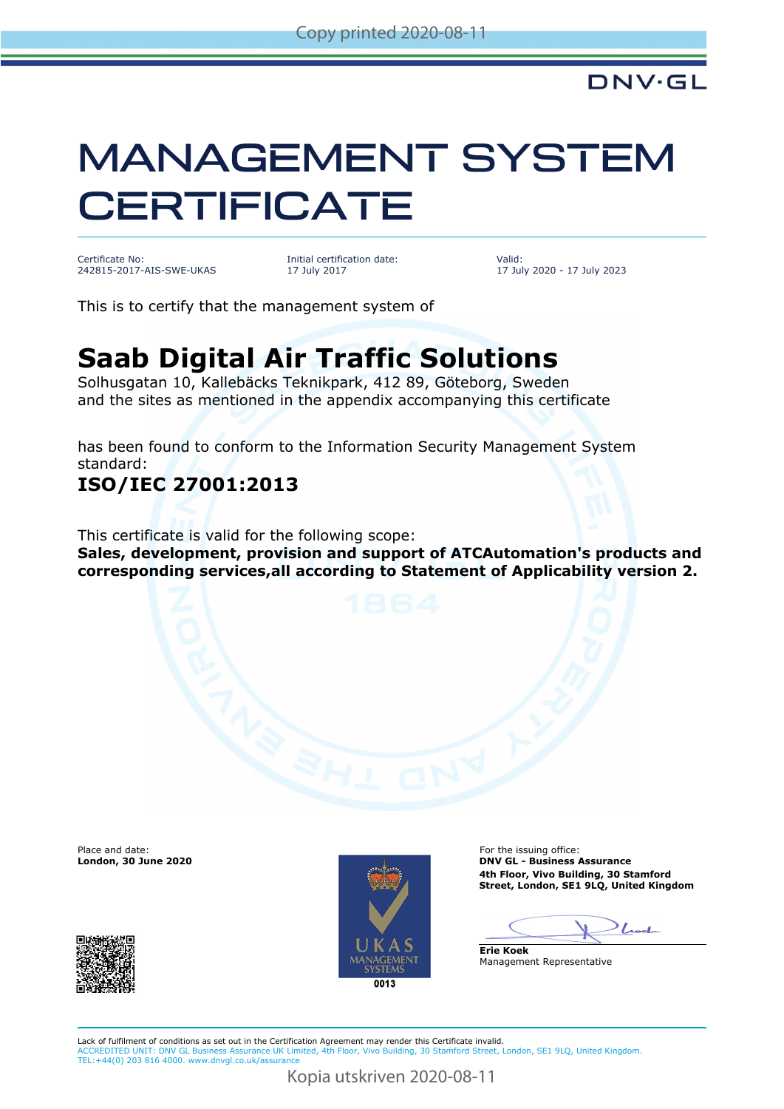# MANAGEMENT SYSTEM **CERTIFICATE**

Certificate No: 242815-2017-AIS-SWE-UKAS Initial certification date: 17 July 2017

Valid: 17 July 2020 - 17 July 2023

This is to certify that the management system of

## **Saab Digital Air Traffic Solutions**

Solhusgatan 10, Kallebäcks Teknikpark, 412 89, Göteborg, Sweden and the sites as mentioned in the appendix accompanying this certificate

has been found to conform to the Information Security Management System standard:

#### **ISO/IEC 27001:2013**

This certificate is valid for the following scope:

**Sales, development, provision and support of ATCAutomation's products and corresponding services,all according to Statement of Applicability version 2.**

Place and date:<br>London, 30 June 2020



For the issuing office: **DNV GL - Business Assurance 4th Floor, Vivo Building, 30 Stamford Street, London, SE1 9LQ, United Kingdom**

Lod

**Erie Koek** Management Representative

Lack of fulfilment of conditions as set out in the Certification Agreement may render this Certificate invalid. ACCREDITED UNIT: DNV GL Business Assurance UK Limited, 4th Floor, Vivo Building, 30 Stamford Street, London, SE1 9LQ, United Kingdom. TEL:+44(0) 203 816 4000. [www.dnvgl.co.uk/assurance](http://www.dnvgl.co.uk/assurance)

Kopia utskriven 2020-08-11